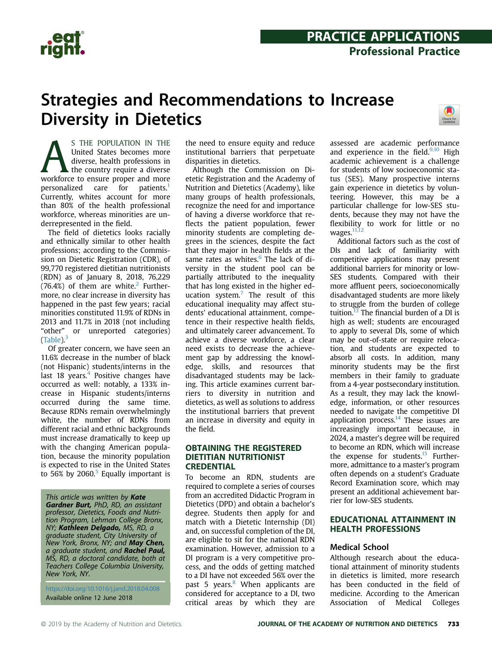

# Strategies and Recommendations to Increase Diversity in Dietetics



S THE POPULATION IN THE United States becomes more diverse, health professions in the country require a diverse workforce to ensure proper and more United States becomes more diverse, health professions in  $\blacktriangle$  the country require a diverse personalized care for patients.<sup>1</sup> Currently, whites account for more than 80% of the health professional workforce, whereas minorities are underrepresented in the field.

The field of dietetics looks racially and ethnically similar to other health professions; according to the Commission on Dietetic Registration (CDR), of 99,770 registered dietitian nutritionists (RDN) as of January 8, 2018, 76,229  $(76.4%)$  of them are white.<sup>2</sup> Furthermore, no clear increase in diversity has happened in the past few years; racial minorities constituted 11.9% of RDNs in 2013 and 11.7% in 2018 (not including "other" or unreported categories) ([Table](#page-1-0)).[3](#page-4-0)

Of greater concern, we have seen an 11.6% decrease in the number of black (not Hispanic) students/interns in the last 18 years. $4$  Positive changes have occurred as well: notably, a 133% increase in Hispanic students/interns occurred during the same time. Because RDNs remain overwhelmingly white, the number of RDNs from different racial and ethnic backgrounds must increase dramatically to keep up with the changing American population, because the minority population is expected to rise in the United States to [5](#page-4-0)6% by 2060. $5$  Equally important is

This article was written by Kate Gardner Burt, PhD, RD, an assistant professor, Dietetics, Foods and Nutrition Program, Lehman College Bronx, NY; Kathleen Delgado, MS, RD, a graduate student, City University of New York, Bronx, NY; and May Chen, a graduate student, and Rachel Paul, MS, RD, a doctoral candidate, both at Teachers College Columbia University, New York, NY.

<https://doi.org/10.1016/j.jand.2018.04.008> Available online 12 June 2018

the need to ensure equity and reduce institutional barriers that perpetuate disparities in dietetics.

Although the Commission on Dietetic Registration and the Academy of Nutrition and Dietetics (Academy), like many groups of health professionals, recognize the need for and importance of having a diverse workforce that reflects the patient population, fewer minority students are completing degrees in the sciences, despite the fact that they major in health fields at the same rates as whites. $6$  The lack of diversity in the student pool can be partially attributed to the inequality that has long existed in the higher education system. $<sup>7</sup>$  The result of this</sup> educational inequality may affect students' educational attainment, competence in their respective health fields, and ultimately career advancement. To achieve a diverse workforce, a clear need exists to decrease the achievement gap by addressing the knowledge, skills, and resources that disadvantaged students may be lacking. This article examines current barriers to diversity in nutrition and dietetics, as well as solutions to address the institutional barriers that prevent an increase in diversity and equity in the field.

#### **OBTAINING THE REGISTERED** DIETITIAN NUTRITIONIST **CREDENTIAL**

To become an RDN, students are required to complete a series of courses from an accredited Didactic Program in Dietetics (DPD) and obtain a bachelor's degree. Students then apply for and match with a Dietetic Internship (DI) and, on successful completion of the DI, are eligible to sit for the national RDN examination. However, admission to a DI program is a very competitive process, and the odds of getting matched to a DI have not exceeded 56% over the past 5 years.<sup>[8](#page-4-0)</sup> When applicants are considered for acceptance to a DI, two critical areas by which they are

assessed are academic performance and experience in the field. $9,10$  High academic achievement is a challenge for students of low socioeconomic status (SES). Many prospective interns gain experience in dietetics by volunteering. However, this may be a particular challenge for low-SES students, because they may not have the flexibility to work for little or no wages.<sup>11,12</sup>

Additional factors such as the cost of DIs and lack of familiarity with competitive applications may present additional barriers for minority or low-SES students. Compared with their more affluent peers, socioeconomically disadvantaged students are more likely to struggle from the burden of college tuition. $13$  The financial burden of a DI is high as well; students are encouraged to apply to several DIs, some of which may be out-of-state or require relocation, and students are expected to absorb all costs. In addition, many minority students may be the first members in their family to graduate from a 4-year postsecondary institution. As a result, they may lack the knowledge, information, or other resources needed to navigate the competitive DI application process. $14$  These issues are increasingly important because, in 2024, a master's degree will be required to become an RDN, which will increase the expense for students.<sup>15</sup> Furthermore, admittance to a master's program often depends on a student's Graduate Record Examination score, which may present an additional achievement barrier for low-SES students.

#### **EDUCATIONAL ATTAINMENT IN HEALTH PROFESSIONS**

# Medical School

Although research about the educational attainment of minority students in dietetics is limited, more research has been conducted in the field of medicine. According to the American Association of Medical Colleges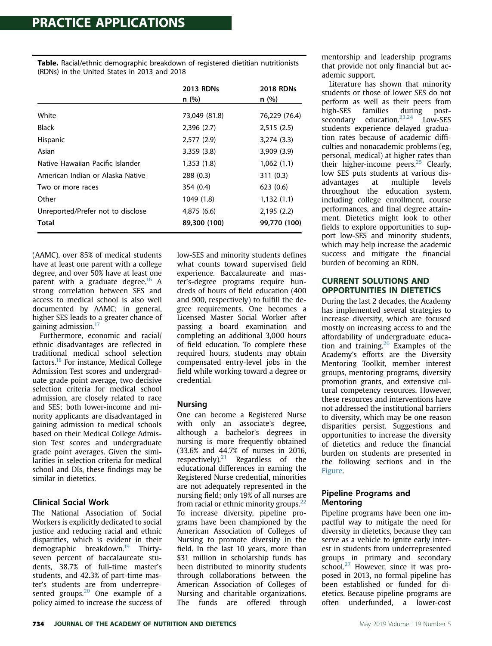<span id="page-1-0"></span>Table. Racial/ethnic demographic breakdown of registered dietitian nutritionists (RDNs) in the United States in 2013 and 2018

|                                   | <b>2013 RDNs</b><br>n(%) | <b>2018 RDNs</b><br>n(%) |
|-----------------------------------|--------------------------|--------------------------|
| White                             | 73,049 (81.8)            | 76,229 (76.4)            |
| <b>Black</b>                      | 2,396(2.7)               | 2,515(2.5)               |
| <b>Hispanic</b>                   | 2,577(2.9)               | 3,274(3.3)               |
| Asian                             | 3,359(3.8)               | 3,909(3.9)               |
| Native Hawaiian Pacific Islander  | 1,353(1.8)               | 1,062(1.1)               |
| American Indian or Alaska Native  | 288(0.3)                 | 311(0.3)                 |
| Two or more races                 | 354 (0.4)                | 623(0.6)                 |
| Other                             | 1049 (1.8)               | 1,132(1.1)               |
| Unreported/Prefer not to disclose | 4.875(6.6)               | 2,195(2.2)               |
| Total                             | 89,300 (100)             | 99,770 (100)             |

(AAMC), over 85% of medical students have at least one parent with a college degree, and over 50% have at least one parent with a graduate degree. $^{16}$  $^{16}$  $^{16}$  A strong correlation between SES and access to medical school is also well documented by AAMC; in general, higher SES leads to a greater chance of gaining admission.<sup>[17](#page-4-0)</sup>

Furthermore, economic and racial/ ethnic disadvantages are reflected in traditional medical school selection factors.[18](#page-4-0) For instance, Medical College Admission Test scores and undergraduate grade point average, two decisive selection criteria for medical school admission, are closely related to race and SES; both lower-income and minority applicants are disadvantaged in gaining admission to medical schools based on their Medical College Admission Test scores and undergraduate grade point averages. Given the similarities in selection criteria for medical school and DIs, these findings may be similar in dietetics.

# Clinical Social Work

The National Association of Social Workers is explicitly dedicated to social justice and reducing racial and ethnic disparities, which is evident in their demographic breakdown.<sup>19</sup> Thirtyseven percent of baccalaureate students, 38.7% of full-time master's students, and 42.3% of part-time master's students are from underrepresented groups. $20$  One example of a policy aimed to increase the success of

low-SES and minority students defines what counts toward supervised field experience. Baccalaureate and master's-degree programs require hundreds of hours of field education (400 and 900, respectively) to fulfill the degree requirements. One becomes a Licensed Master Social Worker after passing a board examination and completing an additional 3,000 hours of field education. To complete these required hours, students may obtain compensated entry-level jobs in the field while working toward a degree or credential.

# Nursing

One can become a Registered Nurse with only an associate's degree, although a bachelor's degrees in nursing is more frequently obtained (33.6% and 44.7% of nurses in 2016, respectively). $21$  Regardless of the educational differences in earning the Registered Nurse credential, minorities are not adequately represented in the nursing field; only 19% of all nurses are from racial or ethnic minority groups. $22$ To increase diversity, pipeline programs have been championed by the American Association of Colleges of Nursing to promote diversity in the field. In the last 10 years, more than \$31 million in scholarship funds has been distributed to minority students through collaborations between the American Association of Colleges of Nursing and charitable organizations. The funds are offered through mentorship and leadership programs that provide not only financial but academic support.

Literature has shown that minority students or those of lower SES do not perform as well as their peers from high-SES families during post-secondary education.<sup>[23,24](#page-5-0)</sup> Low-SES students experience delayed graduation rates because of academic difficulties and nonacademic problems (eg, personal, medical) at higher rates than their higher-income peers.<sup>[25](#page-5-0)</sup> Clearly, low SES puts students at various disadvantages at multiple levels throughout the education system, including college enrollment, course performances, and final degree attainment. Dietetics might look to other fields to explore opportunities to support low-SES and minority students, which may help increase the academic success and mitigate the financial burden of becoming an RDN.

#### **CURRENT SOLUTIONS AND OPPORTUNITIES IN DIETETICS**

During the last 2 decades, the Academy has implemented several strategies to increase diversity, which are focused mostly on increasing access to and the affordability of undergraduate education and training. $26$  Examples of the Academy's efforts are the Diversity Mentoring Toolkit, member interest groups, mentoring programs, diversity promotion grants, and extensive cultural competency resources. However, these resources and interventions have not addressed the institutional barriers to diversity, which may be one reason disparities persist. Suggestions and opportunities to increase the diversity of dietetics and reduce the financial burden on students are presented in the following sections and in the [Figure.](#page-2-0)

#### Pipeline Programs and Mentoring

Pipeline programs have been one impactful way to mitigate the need for diversity in dietetics, because they can serve as a vehicle to ignite early interest in students from underrepresented groups in primary and secondary school.<sup>[27](#page-5-0)</sup> However, since it was proposed in 2013, no formal pipeline has been established or funded for dietetics. Because pipeline programs are often underfunded, a lower-cost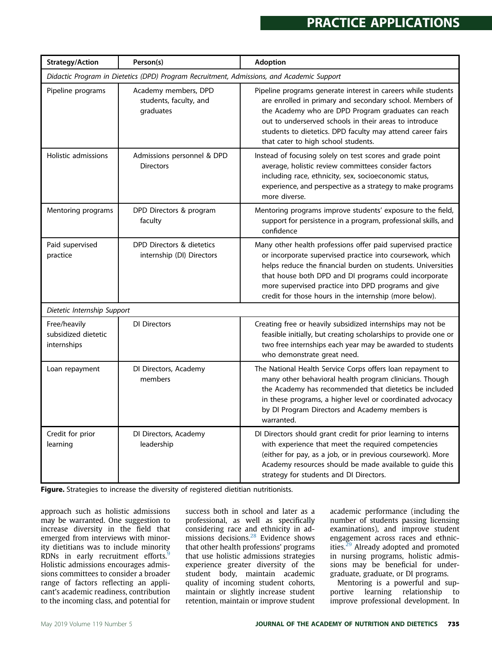<span id="page-2-0"></span>

| <b>Strategy/Action</b>                                                                    | Person(s)                                                   | <b>Adoption</b>                                                                                                                                                                                                                                                                                                                                                    |  |
|-------------------------------------------------------------------------------------------|-------------------------------------------------------------|--------------------------------------------------------------------------------------------------------------------------------------------------------------------------------------------------------------------------------------------------------------------------------------------------------------------------------------------------------------------|--|
| Didactic Program in Dietetics (DPD) Program Recruitment, Admissions, and Academic Support |                                                             |                                                                                                                                                                                                                                                                                                                                                                    |  |
| Pipeline programs                                                                         | Academy members, DPD<br>students, faculty, and<br>graduates | Pipeline programs generate interest in careers while students<br>are enrolled in primary and secondary school. Members of<br>the Academy who are DPD Program graduates can reach<br>out to underserved schools in their areas to introduce<br>students to dietetics. DPD faculty may attend career fairs<br>that cater to high school students.                    |  |
| Holistic admissions                                                                       | Admissions personnel & DPD<br><b>Directors</b>              | Instead of focusing solely on test scores and grade point<br>average, holistic review committees consider factors<br>including race, ethnicity, sex, socioeconomic status,<br>experience, and perspective as a strategy to make programs<br>more diverse.                                                                                                          |  |
| Mentoring programs                                                                        | DPD Directors & program<br>faculty                          | Mentoring programs improve students' exposure to the field,<br>support for persistence in a program, professional skills, and<br>confidence                                                                                                                                                                                                                        |  |
| Paid supervised<br>practice                                                               | DPD Directors & dietetics<br>internship (DI) Directors      | Many other health professions offer paid supervised practice<br>or incorporate supervised practice into coursework, which<br>helps reduce the financial burden on students. Universities<br>that house both DPD and DI programs could incorporate<br>more supervised practice into DPD programs and give<br>credit for those hours in the internship (more below). |  |
| Dietetic Internship Support                                                               |                                                             |                                                                                                                                                                                                                                                                                                                                                                    |  |
| Free/heavily<br>subsidized dietetic<br>internships                                        | <b>DI Directors</b>                                         | Creating free or heavily subsidized internships may not be<br>feasible initially, but creating scholarships to provide one or<br>two free internships each year may be awarded to students<br>who demonstrate great need.                                                                                                                                          |  |
| Loan repayment                                                                            | DI Directors, Academy<br>members                            | The National Health Service Corps offers loan repayment to<br>many other behavioral health program clinicians. Though<br>the Academy has recommended that dietetics be included<br>in these programs, a higher level or coordinated advocacy<br>by DI Program Directors and Academy members is<br>warranted.                                                       |  |
| Credit for prior<br>learning                                                              | DI Directors, Academy<br>leadership                         | DI Directors should grant credit for prior learning to interns<br>with experience that meet the required competencies<br>(either for pay, as a job, or in previous coursework). More<br>Academy resources should be made available to guide this<br>strategy for students and DI Directors.                                                                        |  |

Figure. Strategies to increase the diversity of registered dietitian nutritionists.

approach such as holistic admissions may be warranted. One suggestion to increase diversity in the field that emerged from interviews with minority dietitians was to include minority RDNs in early recruitment efforts. $9$ Holistic admissions encourages admissions committees to consider a broader range of factors reflecting an applicant's academic readiness, contribution to the incoming class, and potential for success both in school and later as a professional, as well as specifically considering race and ethnicity in ad-missions decisions.<sup>[28](#page-5-0)</sup> Evidence shows that other health professions' programs that use holistic admissions strategies experience greater diversity of the student body, maintain academic quality of incoming student cohorts, maintain or slightly increase student retention, maintain or improve student

academic performance (including the number of students passing licensing examinations), and improve student engagement across races and ethnic-ities.<sup>[29](#page-5-0)</sup> Already adopted and promoted in nursing programs, holistic admissions may be beneficial for undergraduate, graduate, or DI programs.

Mentoring is a powerful and supportive learning relationship to improve professional development. In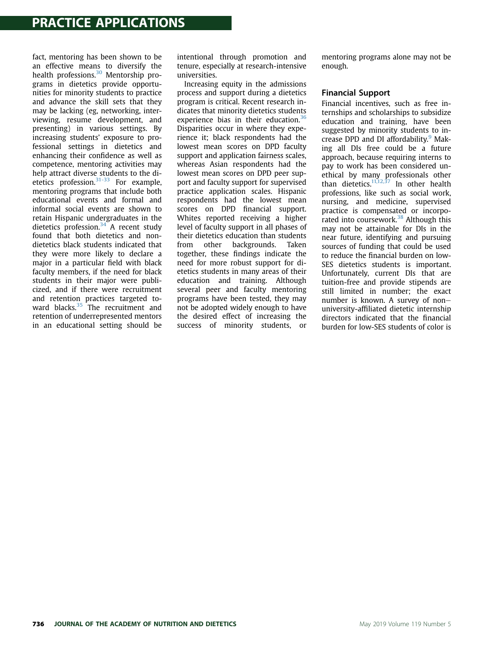fact, mentoring has been shown to be an effective means to diversify the health professions[.30](#page-5-0) Mentorship programs in dietetics provide opportunities for minority students to practice and advance the skill sets that they may be lacking (eg, networking, interviewing, resume development, and presenting) in various settings. By increasing students' exposure to professional settings in dietetics and enhancing their confidence as well as competence, mentoring activities may help attract diverse students to the dietetics profession. $31-33$  For example, mentoring programs that include both educational events and formal and informal social events are shown to retain Hispanic undergraduates in the dietetics profession. $34$  A recent study found that both dietetics and nondietetics black students indicated that they were more likely to declare a major in a particular field with black faculty members, if the need for black students in their major were publicized, and if there were recruitment and retention practices targeted toward blacks. $35$  The recruitment and retention of underrepresented mentors in an educational setting should be

intentional through promotion and tenure, especially at research-intensive universities.

Increasing equity in the admissions process and support during a dietetics program is critical. Recent research indicates that minority dietetics students experience bias in their education. $36$ Disparities occur in where they experience it; black respondents had the lowest mean scores on DPD faculty support and application fairness scales, whereas Asian respondents had the lowest mean scores on DPD peer support and faculty support for supervised practice application scales. Hispanic respondents had the lowest mean scores on DPD financial support. Whites reported receiving a higher level of faculty support in all phases of their dietetics education than students from other backgrounds. Taken together, these findings indicate the need for more robust support for dietetics students in many areas of their education and training. Although several peer and faculty mentoring programs have been tested, they may not be adopted widely enough to have the desired effect of increasing the success of minority students, or

mentoring programs alone may not be enough.

# Financial Support

Financial incentives, such as free internships and scholarships to subsidize education and training, have been suggested by minority students to in-crease DPD and DI affordability.<sup>[9](#page-4-0)</sup> Making all DIs free could be a future approach, because requiring interns to pay to work has been considered unethical by many professionals other  $t$ han dietetics. $\frac{11,12,37}{1}$  In other health professions, like such as social work, nursing, and medicine, supervised practice is compensated or incorpo-rated into coursework.<sup>[38](#page-5-0)</sup> Although this may not be attainable for DIs in the near future, identifying and pursuing sources of funding that could be used to reduce the financial burden on low-SES dietetics students is important. Unfortunately, current DIs that are tuition-free and provide stipends are still limited in number; the exact number is known. A survey of nonuniversity-affiliated dietetic internship directors indicated that the financial burden for low-SES students of color is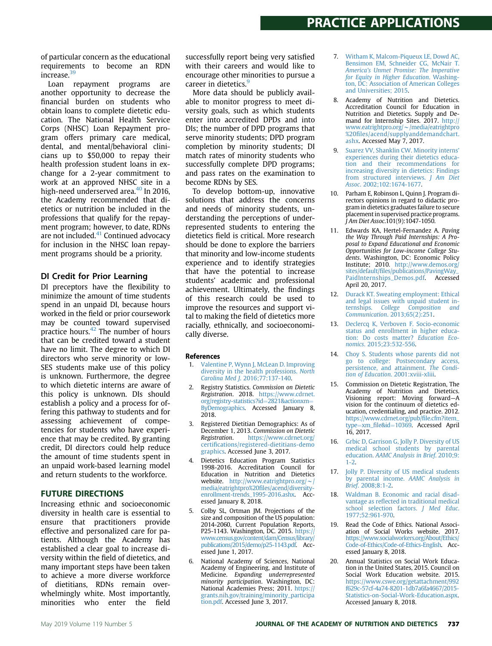<span id="page-4-0"></span>of particular concern as the educational requirements to become an RDN increase.<sup>[39](#page-5-0)</sup>

Loan repayment programs are another opportunity to decrease the financial burden on students who obtain loans to complete dietetic education. The National Health Service Corps (NHSC) Loan Repayment program offers primary care medical, dental, and mental/behavioral clinicians up to \$50,000 to repay their health profession student loans in exchange for a 2-year commitment to work at an approved NHSC site in a high-need underserved area.<sup>40</sup> In 2016, the Academy recommended that dietetics or nutrition be included in the professions that qualify for the repayment program; however, to date, RDNs are not included. $41$  Continued advocacy for inclusion in the NHSC loan repayment programs should be a priority.

#### DI Credit for Prior Learning

DI preceptors have the flexibility to minimize the amount of time students spend in an unpaid DI, because hours worked in the field or prior coursework may be counted toward supervised practice hours. $42$  The number of hours that can be credited toward a student have no limit. The degree to which DI directors who serve minority or low-SES students make use of this policy is unknown. Furthermore, the degree to which dietetic interns are aware of this policy is unknown. DIs should establish a policy and a process for offering this pathway to students and for assessing achievement of competencies for students who have experience that may be credited. By granting credit, DI directors could help reduce the amount of time students spent in an unpaid work-based learning model and return students to the workforce.

#### **FUTURE DIRECTIONS**

Increasing ethnic and socioeconomic diversity in health care is essential to ensure that practitioners provide effective and personalized care for patients. Although the Academy has established a clear goal to increase diversity within the field of dietetics, and many important steps have been taken to achieve a more diverse workforce of dietitians, RDNs remain overwhelmingly white. Most importantly, minorities who enter the field

successfully report being very satisfied with their careers and would like to encourage other minorities to pursue a career in dietetics.<sup>9</sup>

More data should be publicly available to monitor progress to meet diversity goals, such as which students enter into accredited DPDs and into DIs; the number of DPD programs that serve minority students; DPD program completion by minority students; DI match rates of minority students who successfully complete DPD programs; and pass rates on the examination to become RDNs by SES.

To develop bottom-up, innovative solutions that address the concerns and needs of minority students, understanding the perceptions of underrepresented students to entering the dietetics field is critical. More research should be done to explore the barriers that minority and low-income students experience and to identify strategies that have the potential to increase students' academic and professional achievement. Ultimately, the findings of this research could be used to improve the resources and support vital to making the field of dietetics more racially, ethnically, and socioeconomically diverse.

#### References

- 1. [Valentine P, Wynn J, McLean D. Improving](http://refhub.elsevier.com/S2212-2672(18)30512-4/sref1) [diversity in the health professions.](http://refhub.elsevier.com/S2212-2672(18)30512-4/sref1) North Carolina Med J[. 2016;77:137-140.](http://refhub.elsevier.com/S2212-2672(18)30512-4/sref1)
- 2. Registry Statistics. Commission on Dietetic Registration. 2018. [https://www.cdrnet.](https://www.cdrnet.org/registry-statistics?id=2821&actionxm=ByDemographics) [org/registry-statistics?id](https://www.cdrnet.org/registry-statistics?id=2821&actionxm=ByDemographics)=[2821&actionxm](https://www.cdrnet.org/registry-statistics?id=2821&actionxm=ByDemographics)= [ByDemographics](https://www.cdrnet.org/registry-statistics?id=2821&actionxm=ByDemographics). Accessed January 8, 2018.
- 3. Registered Dietitian Demographics: As of December 1, 2013. Commission on Dietetic Registration. [https://www.cdrnet.org/](https://www.cdrnet.org/certifications/registered-dietitians-demographics) certifi[cations/registered-dietitians-demo](https://www.cdrnet.org/certifications/registered-dietitians-demographics) [graphics.](https://www.cdrnet.org/certifications/registered-dietitians-demographics) Accessed June 3, 2017.
- 4. Dietetics Education Program Statistics 1998-2016. Accreditation Council for Education in Nutrition and Dietetics website. [http://www.eatrightpro.org/](http://www.eatrightpro.org/%7E/media/eatrightpro%20files/acend/diversity-enrollment-trends_1995-2016.ashx) $\sim$ [/](http://www.eatrightpro.org/%7E/media/eatrightpro%20files/acend/diversity-enrollment-trends_1995-2016.ashx) [media/eatrightpro%20](http://www.eatrightpro.org/%7E/media/eatrightpro%20files/acend/diversity-enrollment-trends_1995-2016.ashx)files/acend/diversity[enrollment-trends\\_1995-2016.ashx.](http://www.eatrightpro.org/%7E/media/eatrightpro%20files/acend/diversity-enrollment-trends_1995-2016.ashx) Accessed January 8, 2018.
- 5. Colby SL, Ortman JM. Projections of the size and composition of the US population: 2014-2060, Current Population Reports, P25-1143. Washington, DC. 2015. [https://](https://www.census.gov/content/dam/Census/library/publications/2015/demo/p25-1143.pdf) [www.census.gov/content/dam/Census/library/](https://www.census.gov/content/dam/Census/library/publications/2015/demo/p25-1143.pdf) [publications/2015/demo/p25-1143.pdf](https://www.census.gov/content/dam/Census/library/publications/2015/demo/p25-1143.pdf). Accessed June 1, 2017.
- 6. National Academy of Sciences, National Academy of Engineering, and Institute of Medicine. Expanding underrepresented minority participation. Washington, DC: National Academies Press; 2011. [https://](https://grants.nih.gov/training/minority_participation.pdf) [grants.nih.gov/training/minority\\_participa](https://grants.nih.gov/training/minority_participation.pdf) [tion.pdf.](https://grants.nih.gov/training/minority_participation.pdf) Accessed June 3, 2017.
- 7. [Witham K, Malcom-Piqueux LE, Dowd AC,](http://refhub.elsevier.com/S2212-2672(18)30512-4/sref7) [Bensimon EM, Schneider CG, McNair T.](http://refhub.elsevier.com/S2212-2672(18)30512-4/sref7) America'[s Unmet Promise: The Imperative](http://refhub.elsevier.com/S2212-2672(18)30512-4/sref7) [for Equity in Higher Education](http://refhub.elsevier.com/S2212-2672(18)30512-4/sref7). Washing[ton, DC: Association of American Colleges](http://refhub.elsevier.com/S2212-2672(18)30512-4/sref7) [and Universities; 2015](http://refhub.elsevier.com/S2212-2672(18)30512-4/sref7).
- 8. Academy of Nutrition and Dietetics. Accreditation Council for Education in Nutrition and Dietetics. Supply and Demand for Internship Sites. 2017. [http://](http://www.eatrightpro.org/%7E/media/eatrightpro%20files/acend/supplyanddemandchart.ashx) [www.eatrightpro.org/](http://www.eatrightpro.org/%7E/media/eatrightpro%20files/acend/supplyanddemandchart.ashx) $\sim$ [/media/eatrightpro](http://www.eatrightpro.org/%7E/media/eatrightpro%20files/acend/supplyanddemandchart.ashx) %20fi[les/acend/supplyanddemandchart.](http://www.eatrightpro.org/%7E/media/eatrightpro%20files/acend/supplyanddemandchart.ashx) [ashx](http://www.eatrightpro.org/%7E/media/eatrightpro%20files/acend/supplyanddemandchart.ashx). Accessed May 7, 2017.
- 9. [Suarez VV, Shanklin CW. Minority interns](http://refhub.elsevier.com/S2212-2672(18)30512-4/sref9)' [experiences during their dietetics educa](http://refhub.elsevier.com/S2212-2672(18)30512-4/sref9)[tion and their recommendations for](http://refhub.elsevier.com/S2212-2672(18)30512-4/sref9) [increasing diversity in dietetics: Findings](http://refhub.elsevier.com/S2212-2672(18)30512-4/sref9) [from structured interviews.](http://refhub.elsevier.com/S2212-2672(18)30512-4/sref9) J Am Diet Assoc[. 2002;102:1674-1677](http://refhub.elsevier.com/S2212-2672(18)30512-4/sref9).
- 10. Parham E, Robinson L, Quinn J. Program directors opinions in regard to didactic program in dietetics graduates failure to secure placement in supervised practice programs. J Am Diet Assoc.101(9):1047-1050.
- 11. Edwards KA, Hertel-Fernandez A. Paving the Way Through Paid Internships: A Proposal to Expand Educational and Economic Opportunities for Low-income College Students. Washington, DC: Economic Policy Institute; 2010. [http://www.demos.org/](http://www.demos.org/sites/default/files/publications/PavingWay_PaidInternships_Demos.pdf) sites/default/fi[les/publications/PavingWay\\_](http://www.demos.org/sites/default/files/publications/PavingWay_PaidInternships_Demos.pdf) [PaidInternships\\_Demos.pdf](http://www.demos.org/sites/default/files/publications/PavingWay_PaidInternships_Demos.pdf). Accessed April 20, 2017.
- 12. [Durack KT. Sweating employment: Ethical](http://refhub.elsevier.com/S2212-2672(18)30512-4/sref12) [and legal issues with unpaid student in](http://refhub.elsevier.com/S2212-2672(18)30512-4/sref12)ternships. [College Composition and](http://refhub.elsevier.com/S2212-2672(18)30512-4/sref12) Communication[. 2013;65\(2\):251](http://refhub.elsevier.com/S2212-2672(18)30512-4/sref12).
- 13. [Declercq K, Verboven F. Socio-economic](http://refhub.elsevier.com/S2212-2672(18)30512-4/sref13) [status and enrollment in higher educa](http://refhub.elsevier.com/S2212-2672(18)30512-4/sref13)[tion: Do costs matter?](http://refhub.elsevier.com/S2212-2672(18)30512-4/sref13) Education Economics[. 2015;23:532-556.](http://refhub.elsevier.com/S2212-2672(18)30512-4/sref13)
- 14. [Choy S. Students whose parents did not](http://refhub.elsevier.com/S2212-2672(18)30512-4/sref14) [go to college: Postsecondary access,](http://refhub.elsevier.com/S2212-2672(18)30512-4/sref14) [persistence, and attainment.](http://refhub.elsevier.com/S2212-2672(18)30512-4/sref14) The Condi[tion of Education](http://refhub.elsevier.com/S2212-2672(18)30512-4/sref14). 2001:xviii-xIiii.
- 15. Commission on Dietetic Registration, The Academy of Nutrition and Dietetics. Visioning report: Moving forward—A vision for the continuum of dietetics education, credentialing, and practice. 2012. [https://www.cdrnet.org/pub/](https://www.cdrnet.org/pub/file.cfm?item_type=xm_file&id=10369)file.cfm?item\_ [type](https://www.cdrnet.org/pub/file.cfm?item_type=xm_file&id=10369)=xm\_fi[le&id](https://www.cdrnet.org/pub/file.cfm?item_type=xm_file&id=10369)=[10369.](https://www.cdrnet.org/pub/file.cfm?item_type=xm_file&id=10369) Accessed April 16, 2017.
- 16. [Grbic D, Garrison G, Jolly P. Diversity of US](http://refhub.elsevier.com/S2212-2672(18)30512-4/sref16) [medical school students by parental](http://refhub.elsevier.com/S2212-2672(18)30512-4/sref16) education. [AAMC Analysis in Brief](http://refhub.elsevier.com/S2212-2672(18)30512-4/sref16). 2010;9: [1-2.](http://refhub.elsevier.com/S2212-2672(18)30512-4/sref16)
- 17. [Jolly P. Diversity of US medical students](http://refhub.elsevier.com/S2212-2672(18)30512-4/sref17) [by parental income.](http://refhub.elsevier.com/S2212-2672(18)30512-4/sref17) AAMC Analysis in Brief[. 2008;8:1-2](http://refhub.elsevier.com/S2212-2672(18)30512-4/sref17).
- 18. [Waldman B. Economic and racial disad](http://refhub.elsevier.com/S2212-2672(18)30512-4/sref18)vantage as refl[ected in traditional medical](http://refhub.elsevier.com/S2212-2672(18)30512-4/sref18) [school selection factors.](http://refhub.elsevier.com/S2212-2672(18)30512-4/sref18) J Med Educ. [1977;52:961-970](http://refhub.elsevier.com/S2212-2672(18)30512-4/sref18).
- 19. Read the Code of Ethics. National Association of Social Works website. 2017. [https://www.socialworkers.org/About/Ethics/](https://www.socialworkers.org/About/Ethics/Code-of-Ethics/Code-of-Ethics-English) [Code-of-Ethics/Code-of-Ethics-English](https://www.socialworkers.org/About/Ethics/Code-of-Ethics/Code-of-Ethics-English). Accessed January 8, 2018.
- 20. Annual Statistics on Social Work Education in the United States, 2015. Council on Social Work Education website. 2015. [https://www.cswe.org/getattachment/992](https://www.cswe.org/getattachment/992f629c-57cf-4a74-8201-1db7a6fa4667/2015-Statistics-on-Social-Work-Education.aspx) [f629c-57cf-4a74-8201-1db7a6fa4667/2015-](https://www.cswe.org/getattachment/992f629c-57cf-4a74-8201-1db7a6fa4667/2015-Statistics-on-Social-Work-Education.aspx) [Statistics-on-Social-Work-Education.aspx.](https://www.cswe.org/getattachment/992f629c-57cf-4a74-8201-1db7a6fa4667/2015-Statistics-on-Social-Work-Education.aspx) Accessed January 8, 2018.